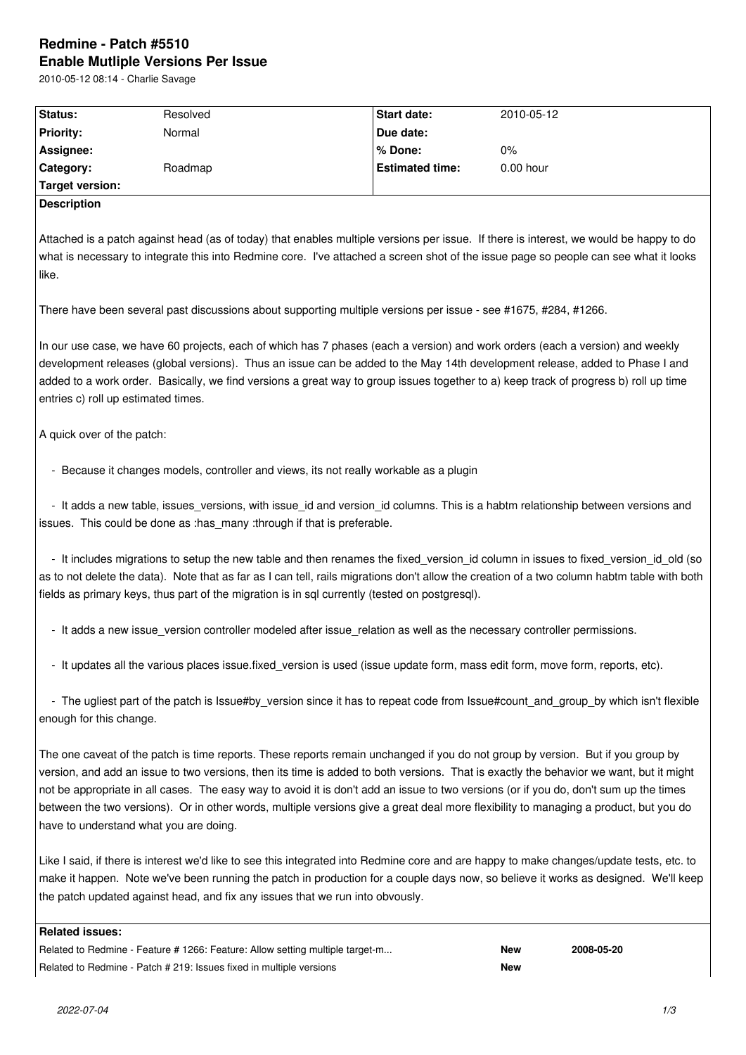# **Redmine - Patch #5510 Enable Mutliple Versions Per Issue**

2010-05-12 08:14 - Charlie Savage

| Status:          | Resolved | <b>Start date:</b>     | 2010-05-12  |  |
|------------------|----------|------------------------|-------------|--|
| <b>Priority:</b> | Normal   | Due date:              |             |  |
| Assignee:        |          | l % Done:              | $0\%$       |  |
| Category:        | Roadmap  | <b>Estimated time:</b> | $0.00$ hour |  |
| Target version:  |          |                        |             |  |
| Description      |          |                        |             |  |

Attached is a patch against head (as of today) that enables multiple versions per issue. If there is interest, we would be happy to do what is necessary to integrate this into Redmine core. I've attached a screen shot of the issue page so people can see what it looks like.

There have been several past discussions about supporting multiple versions per issue - see #1675, #284, #1266.

In our use case, we have 60 projects, each of which has 7 phases (each a version) and work orders (each a version) and weekly development releases (global versions). Thus an issue can be added to the May 14th development release, added to Phase I and added to a work order. Basically, we find versions a great way to group issues together to a) keep track of progress b) roll up time entries c) roll up estimated times.

A quick over of the patch:

- Because it changes models, controller and views, its not really workable as a plugin

- It adds a new table, issues versions, with issue id and version id columns. This is a habtm relationship between versions and issues. This could be done as :has many :through if that is preferable.

- It includes migrations to setup the new table and then renames the fixed version id column in issues to fixed version id old (so as to not delete the data). Note that as far as I can tell, rails migrations don't allow the creation of a two column habtm table with both fields as primary keys, thus part of the migration is in sql currently (tested on postgresql).

- It adds a new issue version controller modeled after issue relation as well as the necessary controller permissions.

- It updates all the various places issue.fixed\_version is used (issue update form, mass edit form, move form, reports, etc).

- The ugliest part of the patch is Issue#by version since it has to repeat code from Issue#count and group by which isn't flexible enough for this change.

The one caveat of the patch is time reports. These reports remain unchanged if you do not group by version. But if you group by version, and add an issue to two versions, then its time is added to both versions. That is exactly the behavior we want, but it might not be appropriate in all cases. The easy way to avoid it is don't add an issue to two versions (or if you do, don't sum up the times between the two versions). Or in other words, multiple versions give a great deal more flexibility to managing a product, but you do have to understand what you are doing.

Like I said, if there is interest we'd like to see this integrated into Redmine core and are happy to make changes/update tests, etc. to make it happen. Note we've been running the patch in production for a couple days now, so believe it works as designed. We'll keep the patch updated against head, and fix any issues that we run into obvously.

## **Related issues:**

Related to Redmine - Feature # 1266: Feature: Allow setting multiple target-m... **New 2008-05-20** Related to Redmine - Patch # 219: Issues fixed in multiple versions **New**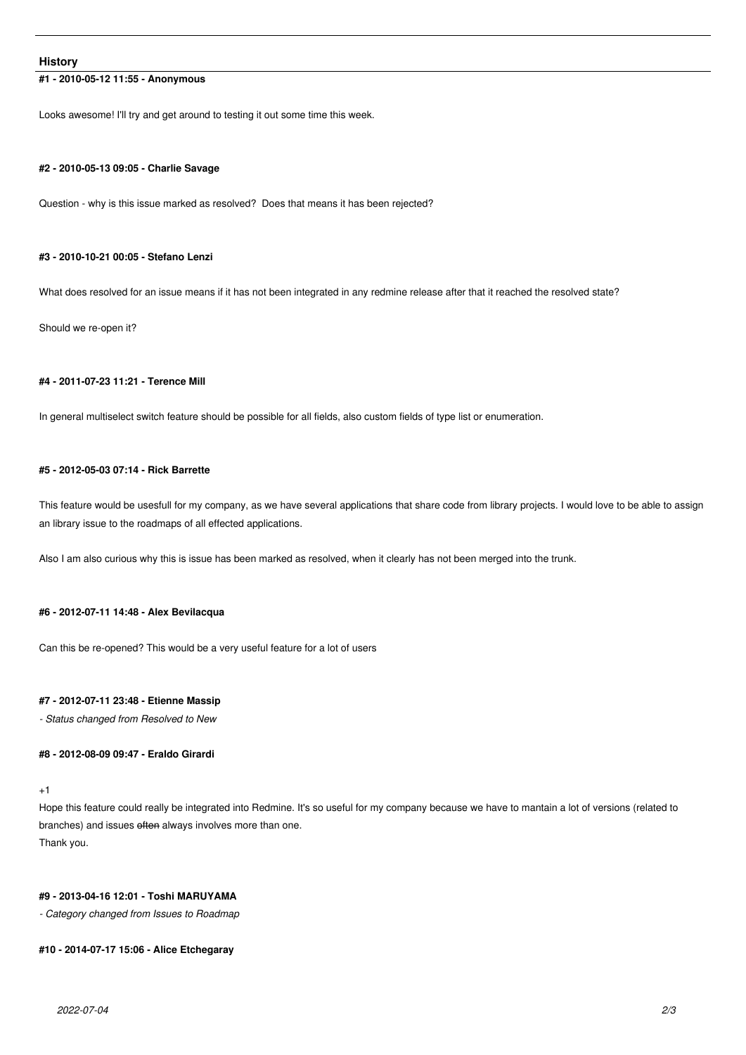## **History**

# **#1 - 2010-05-12 11:55 - Anonymous**

Looks awesome! I'll try and get around to testing it out some time this week.

#### **#2 - 2010-05-13 09:05 - Charlie Savage**

Question - why is this issue marked as resolved? Does that means it has been rejected?

## **#3 - 2010-10-21 00:05 - Stefano Lenzi**

What does resolved for an issue means if it has not been integrated in any redmine release after that it reached the resolved state?

Should we re-open it?

## **#4 - 2011-07-23 11:21 - Terence Mill**

In general multiselect switch feature should be possible for all fields, also custom fields of type list or enumeration.

## **#5 - 2012-05-03 07:14 - Rick Barrette**

This feature would be usesfull for my company, as we have several applications that share code from library projects. I would love to be able to assign an library issue to the roadmaps of all effected applications.

Also I am also curious why this is issue has been marked as resolved, when it clearly has not been merged into the trunk.

## **#6 - 2012-07-11 14:48 - Alex Bevilacqua**

Can this be re-opened? This would be a very useful feature for a lot of users

## **#7 - 2012-07-11 23:48 - Etienne Massip**

*- Status changed from Resolved to New*

# **#8 - 2012-08-09 09:47 - Eraldo Girardi**

## +1

Hope this feature could really be integrated into Redmine. It's so useful for my company because we have to mantain a lot of versions (related to branches) and issues often always involves more than one. Thank you.

## **#9 - 2013-04-16 12:01 - Toshi MARUYAMA**

*- Category changed from Issues to Roadmap*

#### **#10 - 2014-07-17 15:06 - Alice Etchegaray**